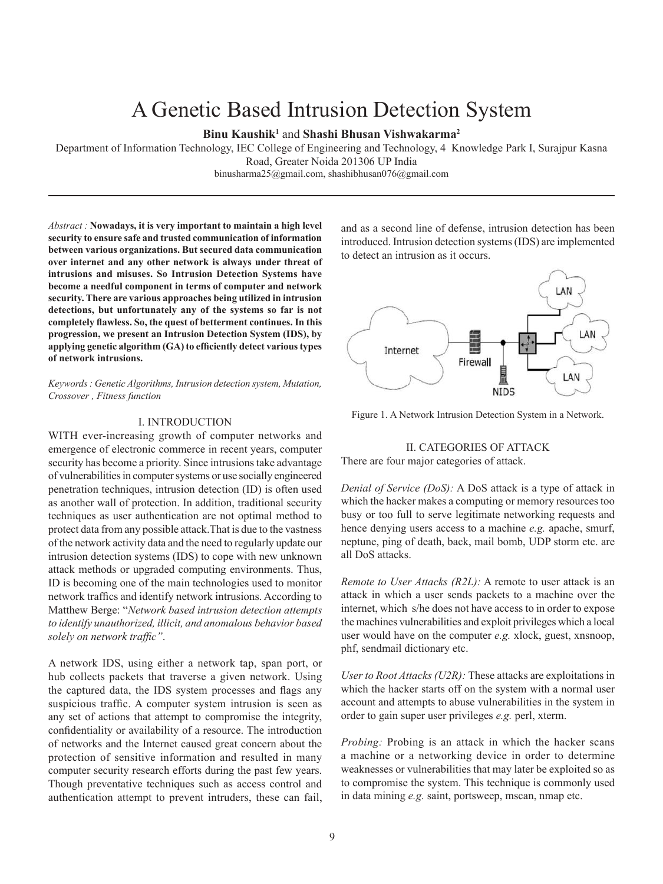# A Genetic Based Intrusion Detection System

# **Binu Kaushik1** and **Shashi Bhusan Vishwakarma2**

Department of Information Technology, IEC College of Engineering and Technology, 4 Knowledge Park I, Surajpur Kasna Road, Greater Noida 201306 UP India binusharma25@gmail.com, shashibhusan076@gmail.com

*Abstract :* **Nowadays, it is very important to maintain a high level security to ensure safe and trusted communication of information between various organizations. But secured data communication over internet and any other network is always under threat of intrusions and misuses. So Intrusion Detection Systems have become a needful component in terms of computer and network security. There are various approaches being utilized in intrusion detections, but unfortunately any of the systems so far is not completely flawless. So, the quest of betterment continues. In this progression, we present an Intrusion Detection System (IDS), by applying genetic algorithm (GA) to efficiently detect various types of network intrusions.**

*Keywords : Genetic Algorithms, Intrusion detection system, Mutation, Crossover , Fitness function* 

#### I. INTRODUCTION

WITH ever-increasing growth of computer networks and emergence of electronic commerce in recent years, computer security has become a priority. Since intrusions take advantage of vulnerabilities in computer systems or use socially engineered penetration techniques, intrusion detection (ID) is often used as another wall of protection. In addition, traditional security techniques as user authentication are not optimal method to protect data from any possible attack.That is due to the vastness of the network activity data and the need to regularly update our intrusion detection systems (IDS) to cope with new unknown attack methods or upgraded computing environments. Thus, ID is becoming one of the main technologies used to monitor network traffics and identify network intrusions. According to Matthew Berge: "*Network based intrusion detection attempts to identify unauthorized, illicit, and anomalous behavior based solely on network traffic"*.

A network IDS, using either a network tap, span port, or hub collects packets that traverse a given network. Using the captured data, the IDS system processes and flags any suspicious traffic. A computer system intrusion is seen as any set of actions that attempt to compromise the integrity, confidentiality or availability of a resource. The introduction of networks and the Internet caused great concern about the protection of sensitive information and resulted in many computer security research efforts during the past few years. Though preventative techniques such as access control and authentication attempt to prevent intruders, these can fail,

and as a second line of defense, intrusion detection has been introduced. Intrusion detection systems (IDS) are implemented to detect an intrusion as it occurs.



Figure 1. A Network Intrusion Detection System in a Network.

# II. CATEGORIES OF ATTACK

There are four major categories of attack.

*Denial of Service (DoS):* A DoS attack is a type of attack in which the hacker makes a computing or memory resources too busy or too full to serve legitimate networking requests and hence denying users access to a machine *e.g.* apache, smurf, neptune, ping of death, back, mail bomb, UDP storm etc. are all DoS attacks.

*Remote to User Attacks (R2L):* A remote to user attack is an attack in which a user sends packets to a machine over the internet, which s/he does not have access to in order to expose the machines vulnerabilities and exploit privileges which a local user would have on the computer *e.g.* xlock, guest, xnsnoop, phf, sendmail dictionary etc.

*User to Root Attacks (U2R):* These attacks are exploitations in which the hacker starts off on the system with a normal user account and attempts to abuse vulnerabilities in the system in order to gain super user privileges *e.g.* perl, xterm.

*Probing:* Probing is an attack in which the hacker scans a machine or a networking device in order to determine weaknesses or vulnerabilities that may later be exploited so as to compromise the system. This technique is commonly used in data mining *e.g.* saint, portsweep, mscan, nmap etc.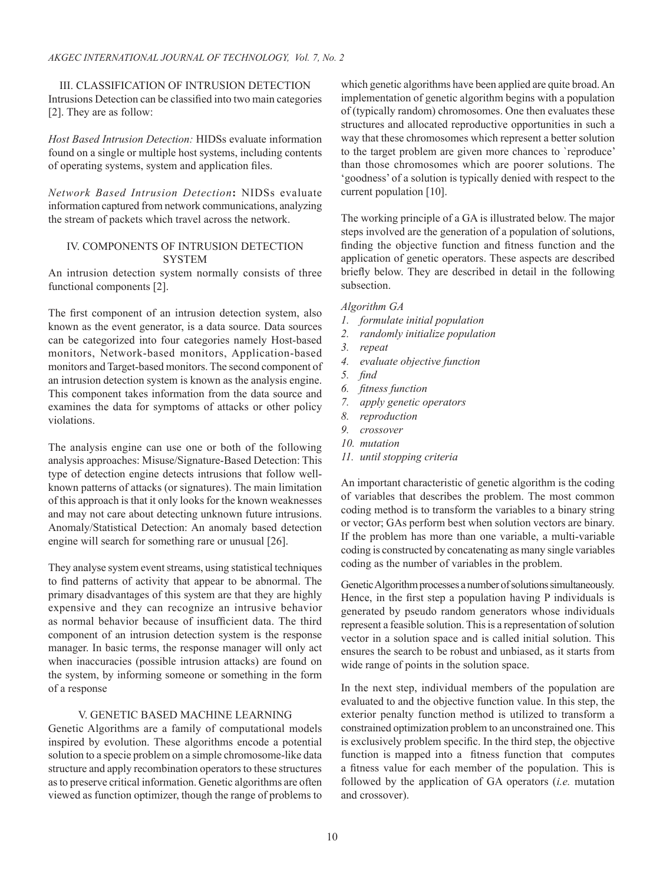III. CLASSIFICATION OF INTRUSION DETECTION Intrusions Detection can be classified into two main categories [2]. They are as follow:

*Host Based Intrusion Detection:* HIDSs evaluate information found on a single or multiple host systems, including contents of operating systems, system and application files.

*Network Based Intrusion Detection***:** NIDSs evaluate information captured from network communications, analyzing the stream of packets which travel across the network.

# IV. COMPONENTS OF INTRUSION DETECTION SYSTEM

An intrusion detection system normally consists of three functional components [2].

The first component of an intrusion detection system, also known as the event generator, is a data source. Data sources can be categorized into four categories namely Host-based monitors, Network-based monitors, Application-based monitors and Target-based monitors. The second component of an intrusion detection system is known as the analysis engine. This component takes information from the data source and examines the data for symptoms of attacks or other policy violations.

The analysis engine can use one or both of the following analysis approaches: Misuse/Signature-Based Detection: This type of detection engine detects intrusions that follow wellknown patterns of attacks (or signatures). The main limitation of this approach is that it only looks for the known weaknesses and may not care about detecting unknown future intrusions. Anomaly/Statistical Detection: An anomaly based detection engine will search for something rare or unusual [26].

They analyse system event streams, using statistical techniques to find patterns of activity that appear to be abnormal. The primary disadvantages of this system are that they are highly expensive and they can recognize an intrusive behavior as normal behavior because of insufficient data. The third component of an intrusion detection system is the response manager. In basic terms, the response manager will only act when inaccuracies (possible intrusion attacks) are found on the system, by informing someone or something in the form of a response

## V. GENETIC BASED MACHINE LEARNING

Genetic Algorithms are a family of computational models inspired by evolution. These algorithms encode a potential solution to a specie problem on a simple chromosome-like data structure and apply recombination operators to these structures as to preserve critical information. Genetic algorithms are often viewed as function optimizer, though the range of problems to which genetic algorithms have been applied are quite broad. An implementation of genetic algorithm begins with a population of (typically random) chromosomes. One then evaluates these structures and allocated reproductive opportunities in such a way that these chromosomes which represent a better solution to the target problem are given more chances to `reproduce' than those chromosomes which are poorer solutions. The 'goodness' of a solution is typically denied with respect to the current population [10].

The working principle of a GA is illustrated below. The major steps involved are the generation of a population of solutions, finding the objective function and fitness function and the application of genetic operators. These aspects are described briefly below. They are described in detail in the following subsection.

## *Algorithm GA*

- *1. formulate initial population*
- *2. randomly initialize population*
- *3. repeat*
- *4. evaluate objective function*
- *5. find*
- *6. fitness function*
- *7. apply genetic operators*
- *8. reproduction*
- *9. crossover*
- *10. mutation*
- *11. until stopping criteria*

An important characteristic of genetic algorithm is the coding of variables that describes the problem. The most common coding method is to transform the variables to a binary string or vector; GAs perform best when solution vectors are binary. If the problem has more than one variable, a multi-variable coding is constructed by concatenating as many single variables coding as the number of variables in the problem.

Genetic Algorithm processes a number of solutions simultaneously. Hence, in the first step a population having P individuals is generated by pseudo random generators whose individuals represent a feasible solution. This is a representation of solution vector in a solution space and is called initial solution. This ensures the search to be robust and unbiased, as it starts from wide range of points in the solution space.

In the next step, individual members of the population are evaluated to and the objective function value. In this step, the exterior penalty function method is utilized to transform a constrained optimization problem to an unconstrained one. This is exclusively problem specific. In the third step, the objective function is mapped into a fitness function that computes a fitness value for each member of the population. This is followed by the application of GA operators (*i.e.* mutation and crossover).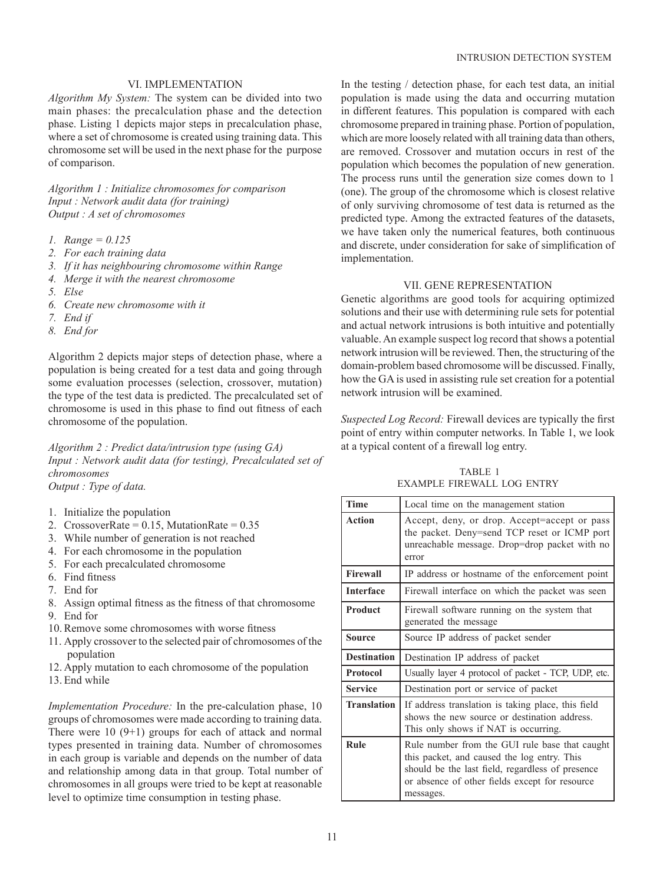# VI. IMPLEMENTATION

*Algorithm My System:* The system can be divided into two main phases: the precalculation phase and the detection phase. Listing 1 depicts major steps in precalculation phase, where a set of chromosome is created using training data. This chromosome set will be used in the next phase for the purpose of comparison.

*Algorithm 1 : Initialize chromosomes for comparison Input : Network audit data (for training) Output : A set of chromosomes*

- *1. Range = 0.125*
- *2. For each training data*
- *3. If it has neighbouring chromosome within Range*
- *4. Merge it with the nearest chromosome*
- *5. Else*
- *6. Create new chromosome with it*
- *7. End if*
- *8. End for*

Algorithm 2 depicts major steps of detection phase, where a population is being created for a test data and going through some evaluation processes (selection, crossover, mutation) the type of the test data is predicted. The precalculated set of chromosome is used in this phase to find out fitness of each chromosome of the population.

*Algorithm 2 : Predict data/intrusion type (using GA) Input : Network audit data (for testing), Precalculated set of chromosomes Output : Type of data.*

- 1. Initialize the population
- 2. CrossoverRate =  $0.15$ , MutationRate =  $0.35$
- 3. While number of generation is not reached
- 4. For each chromosome in the population
- 5. For each precalculated chromosome
- 6. Find fitness
- 7. End for
- 8. Assign optimal fitness as the fitness of that chromosome
- 9. End for
- 10. Remove some chromosomes with worse fitness
- 11. Apply crossover to the selected pair of chromosomes of the population
- 12. Apply mutation to each chromosome of the population
- 13. End while

*Implementation Procedure:* In the pre-calculation phase, 10 groups of chromosomes were made according to training data. There were 10 (9+1) groups for each of attack and normal types presented in training data. Number of chromosomes in each group is variable and depends on the number of data and relationship among data in that group. Total number of chromosomes in all groups were tried to be kept at reasonable level to optimize time consumption in testing phase.

In the testing / detection phase, for each test data, an initial population is made using the data and occurring mutation in different features. This population is compared with each chromosome prepared in training phase. Portion of population, which are more loosely related with all training data than others, are removed. Crossover and mutation occurs in rest of the population which becomes the population of new generation. The process runs until the generation size comes down to 1 (one). The group of the chromosome which is closest relative of only surviving chromosome of test data is returned as the predicted type. Among the extracted features of the datasets, we have taken only the numerical features, both continuous and discrete, under consideration for sake of simplification of implementation.

#### VII. GENE REPRESENTATION

Genetic algorithms are good tools for acquiring optimized solutions and their use with determining rule sets for potential and actual network intrusions is both intuitive and potentially valuable. An example suspect log record that shows a potential network intrusion will be reviewed. Then, the structuring of the domain-problem based chromosome will be discussed. Finally, how the GA is used in assisting rule set creation for a potential network intrusion will be examined.

*Suspected Log Record:* Firewall devices are typically the first point of entry within computer networks. In Table 1, we look at a typical content of a firewall log entry.

 TABLE 1 EXAMPLE FIREWALL LOG ENTRY

| <b>Time</b>        | Local time on the management station                                                                                                                   |  |  |  |
|--------------------|--------------------------------------------------------------------------------------------------------------------------------------------------------|--|--|--|
| <b>Action</b>      | Accept, deny, or drop. Accept=accept or pass<br>the packet. Deny=send TCP reset or ICMP port<br>unreachable message. Drop=drop packet with no<br>error |  |  |  |
| <b>Firewall</b>    | IP address or hostname of the enforcement point                                                                                                        |  |  |  |
| <b>Interface</b>   | Firewall interface on which the packet was seen                                                                                                        |  |  |  |
| Product            | Firewall software running on the system that<br>generated the message                                                                                  |  |  |  |
| Source             | Source IP address of packet sender                                                                                                                     |  |  |  |
|                    |                                                                                                                                                        |  |  |  |
| <b>Destination</b> | Destination IP address of packet                                                                                                                       |  |  |  |
| <b>Protocol</b>    | Usually layer 4 protocol of packet - TCP, UDP, etc.                                                                                                    |  |  |  |
| <b>Service</b>     | Destination port or service of packet                                                                                                                  |  |  |  |
| <b>Translation</b> | If address translation is taking place, this field<br>shows the new source or destination address.<br>This only shows if NAT is occurring.             |  |  |  |